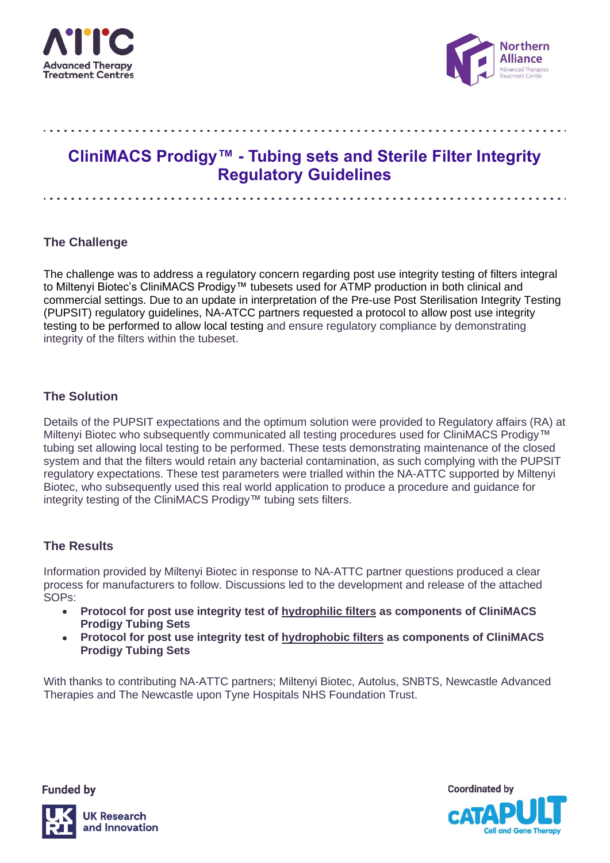



# **CliniMACS Prodigy™ - Tubing sets and Sterile Filter Integrity Regulatory Guidelines**

## **The Challenge**

The challenge was to address a regulatory concern regarding post use integrity testing of filters integral to Miltenyi Biotec's CliniMACS Prodigy™ tubesets used for ATMP production in both clinical and commercial settings. Due to an update in interpretation of the Pre-use Post Sterilisation Integrity Testing (PUPSIT) regulatory guidelines, NA-ATCC partners requested a protocol to allow post use integrity testing to be performed to allow local testing and ensure regulatory compliance by demonstrating integrity of the filters within the tubeset.

## **The Solution**

Details of the PUPSIT expectations and the optimum solution were provided to Regulatory affairs (RA) at Miltenyi Biotec who subsequently communicated all testing procedures used for CliniMACS Prodigy™ tubing set allowing local testing to be performed. These tests demonstrating maintenance of the closed system and that the filters would retain any bacterial contamination, as such complying with the PUPSIT regulatory expectations. These test parameters were trialled within the NA-ATTC supported by Miltenyi Biotec, who subsequently used this real world application to produce a procedure and guidance for integrity testing of the CliniMACS Prodigy™ tubing sets filters.

## **The Results**

Information provided by Miltenyi Biotec in response to NA-ATTC partner questions produced a clear process for manufacturers to follow. Discussions led to the development and release of the attached SOPs:

- **Protocol for post use integrity test of hydrophilic filters as components of CliniMACS Prodigy Tubing Sets**
- **Protocol for post use integrity test of hydrophobic filters as components of CliniMACS Prodigy Tubing Sets**

With thanks to contributing NA-ATTC partners; Miltenyi Biotec, Autolus, SNBTS, Newcastle Advanced Therapies and The Newcastle upon Tyne Hospitals NHS Foundation Trust.

**Funded by** 

**JK Research** and Innovation



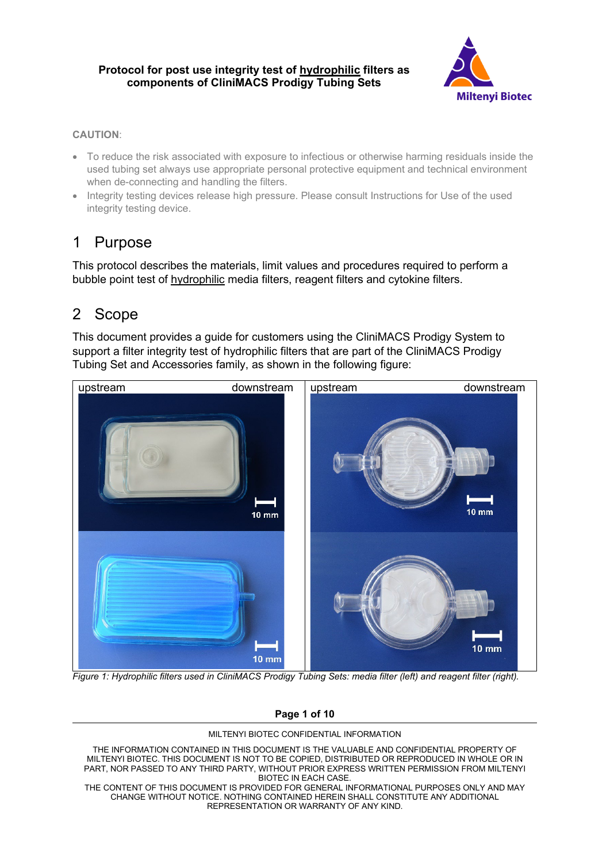

### **CAUTION**:

- To reduce the risk associated with exposure to infectious or otherwise harming residuals inside the used tubing set always use appropriate personal protective equipment and technical environment when de-connecting and handling the filters.
- Integrity testing devices release high pressure. Please consult Instructions for Use of the used integrity testing device.

# 1 Purpose

This protocol describes the materials, limit values and procedures required to perform a bubble point test of hydrophilic media filters, reagent filters and cytokine filters.

# 2 Scope

This document provides a guide for customers using the CliniMACS Prodigy System to support a filter integrity test of hydrophilic filters that are part of the CliniMACS Prodigy Tubing Set and Accessories family, as shown in the following figure:



*Figure 1: Hydrophilic filters used in CliniMACS Prodigy Tubing Sets: media filter (left) and reagent filter (right).*

### **Page 1 of 10**

#### MILTENYI BIOTEC CONFIDENTIAL INFORMATION

THE INFORMATION CONTAINED IN THIS DOCUMENT IS THE VALUABLE AND CONFIDENTIAL PROPERTY OF MILTENYI BIOTEC. THIS DOCUMENT IS NOT TO BE COPIED, DISTRIBUTED OR REPRODUCED IN WHOLE OR IN PART, NOR PASSED TO ANY THIRD PARTY, WITHOUT PRIOR EXPRESS WRITTEN PERMISSION FROM MILTENYI BIOTEC IN EACH CASE.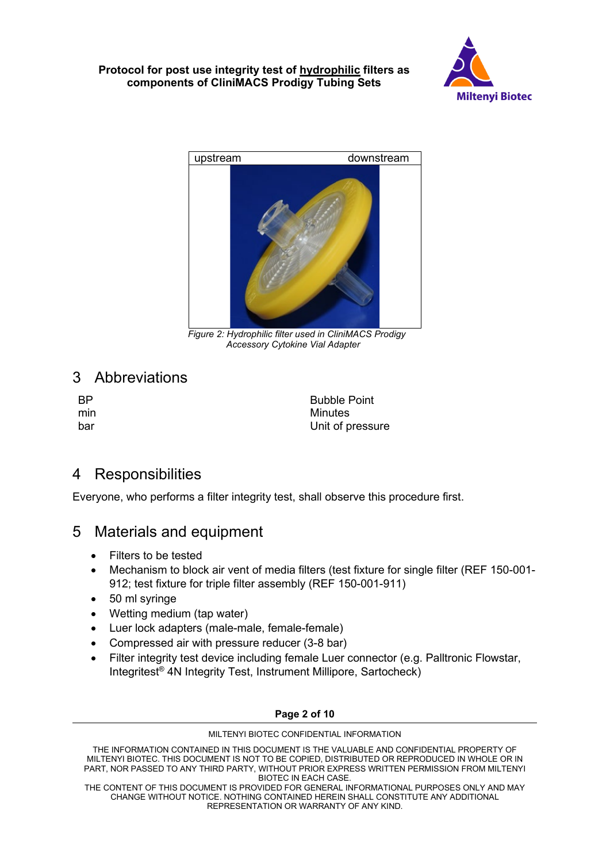



 *Figure 2: Hydrophilic filter used in CliniMACS Prodigy Accessory Cytokine Vial Adapter*

# 3 Abbreviations

BP
Bubble Point
Bubble Point
Bubble Point
Bubble Point
Bubble Point
Bubble Point
Bubble Point
Bubble Point
Bubble Point
Bubble Point
Bubble Point
Bubble Point
Bubble Point
Bubble Point
Bubble Point
Bubble Point
Bubble Poin min Minutes bar Unit of pressure

# 4 Responsibilities

Everyone, who performs a filter integrity test, shall observe this procedure first.

## 5 Materials and equipment

- Filters to be tested
- Mechanism to block air vent of media filters (test fixture for single filter (REF 150-001- 912; test fixture for triple filter assembly (REF 150-001-911)
- 50 ml syringe
- Wetting medium (tap water)
- Luer lock adapters (male-male, female-female)
- Compressed air with pressure reducer (3-8 bar)
- Filter integrity test device including female Luer connector (e.g. Palltronic Flowstar, Integritest® 4N Integrity Test, Instrument Millipore, Sartocheck)

### **Page 2 of 10**

#### MILTENYI BIOTEC CONFIDENTIAL INFORMATION

THE INFORMATION CONTAINED IN THIS DOCUMENT IS THE VALUABLE AND CONFIDENTIAL PROPERTY OF MILTENYI BIOTEC. THIS DOCUMENT IS NOT TO BE COPIED, DISTRIBUTED OR REPRODUCED IN WHOLE OR IN PART, NOR PASSED TO ANY THIRD PARTY, WITHOUT PRIOR EXPRESS WRITTEN PERMISSION FROM MILTENYI BIOTEC IN EACH CASE.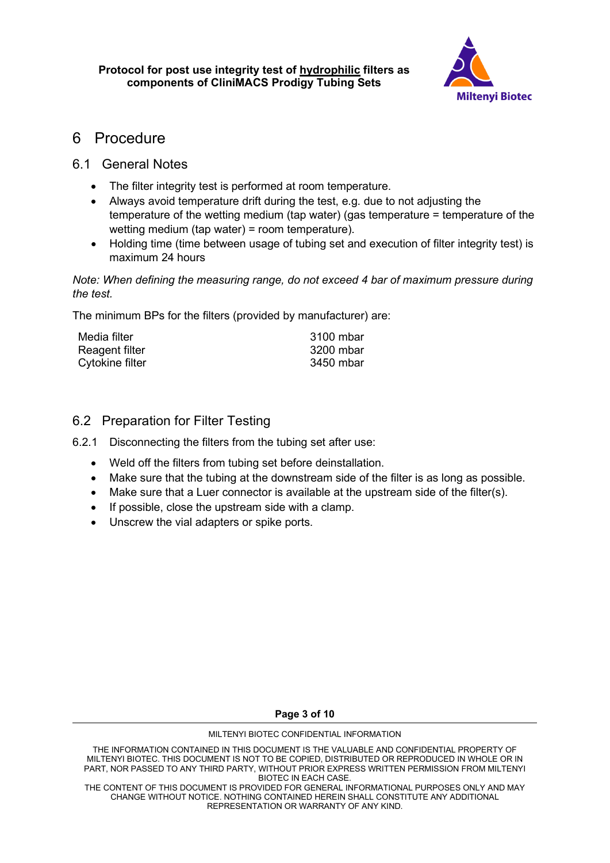

## 6 Procedure

## 6.1 General Notes

- The filter integrity test is performed at room temperature.
- Always avoid temperature drift during the test, e.g. due to not adjusting the temperature of the wetting medium (tap water) (gas temperature = temperature of the wetting medium (tap water) = room temperature).
- Holding time (time between usage of tubing set and execution of filter integrity test) is maximum 24 hours

*Note: When defining the measuring range, do not exceed 4 bar of maximum pressure during the test.*

The minimum BPs for the filters (provided by manufacturer) are:

| Media filter    | 3100 mbar |
|-----------------|-----------|
| Reagent filter  | 3200 mbar |
| Cytokine filter | 3450 mbar |

## 6.2 Preparation for Filter Testing

- 6.2.1 Disconnecting the filters from the tubing set after use:
	- Weld off the filters from tubing set before deinstallation.
	- Make sure that the tubing at the downstream side of the filter is as long as possible.
	- Make sure that a Luer connector is available at the upstream side of the filter(s).
	- If possible, close the upstream side with a clamp.
	- Unscrew the vial adapters or spike ports.

**Page 3 of 10**

#### MILTENYI BIOTEC CONFIDENTIAL INFORMATION

THE INFORMATION CONTAINED IN THIS DOCUMENT IS THE VALUABLE AND CONFIDENTIAL PROPERTY OF MILTENYI BIOTEC. THIS DOCUMENT IS NOT TO BE COPIED, DISTRIBUTED OR REPRODUCED IN WHOLE OR IN PART, NOR PASSED TO ANY THIRD PARTY, WITHOUT PRIOR EXPRESS WRITTEN PERMISSION FROM MILTENYI BIOTEC IN EACH CASE.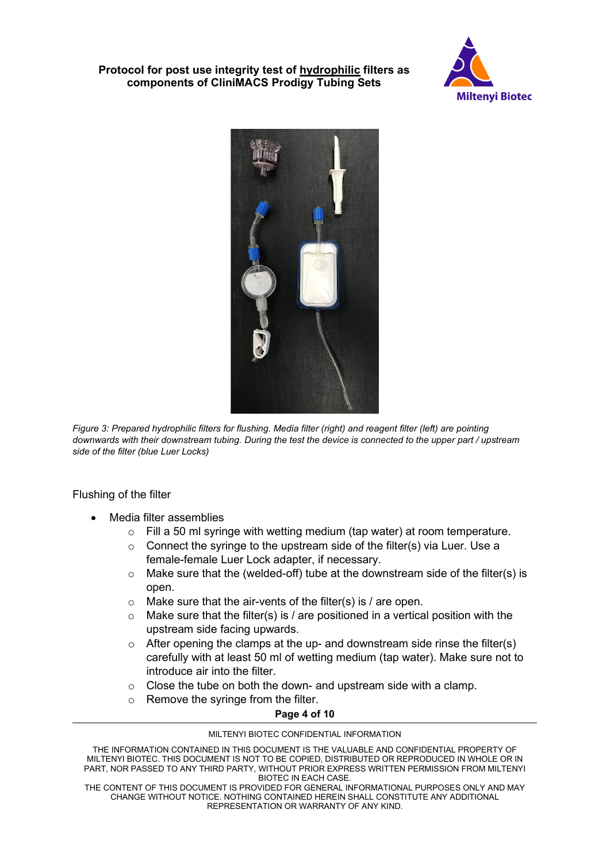



*Figure 3: Prepared hydrophilic filters for flushing. Media filter (right) and reagent filter (left) are pointing downwards with their downstream tubing. During the test the device is connected to the upper part / upstream side of the filter (blue Luer Locks)* 

Flushing of the filter

- Media filter assemblies
	- $\circ$  Fill a 50 ml syringe with wetting medium (tap water) at room temperature.
	- o Connect the syringe to the upstream side of the filter(s) via Luer. Use a female-female Luer Lock adapter, if necessary.
	- $\circ$  Make sure that the (welded-off) tube at the downstream side of the filter(s) is open.
	- $\circ$  Make sure that the air-vents of the filter(s) is / are open.
	- $\circ$  Make sure that the filter(s) is / are positioned in a vertical position with the upstream side facing upwards.
	- $\circ$  After opening the clamps at the up- and downstream side rinse the filter(s) carefully with at least 50 ml of wetting medium (tap water). Make sure not to introduce air into the filter.
	- $\circ$  Close the tube on both the down- and upstream side with a clamp.
	- o Remove the syringe from the filter.

### **Page 4 of 10**

#### MILTENYI BIOTEC CONFIDENTIAL INFORMATION

THE INFORMATION CONTAINED IN THIS DOCUMENT IS THE VALUABLE AND CONFIDENTIAL PROPERTY OF MILTENYI BIOTEC. THIS DOCUMENT IS NOT TO BE COPIED, DISTRIBUTED OR REPRODUCED IN WHOLE OR IN PART, NOR PASSED TO ANY THIRD PARTY, WITHOUT PRIOR EXPRESS WRITTEN PERMISSION FROM MILTENYI BIOTEC IN EACH CASE.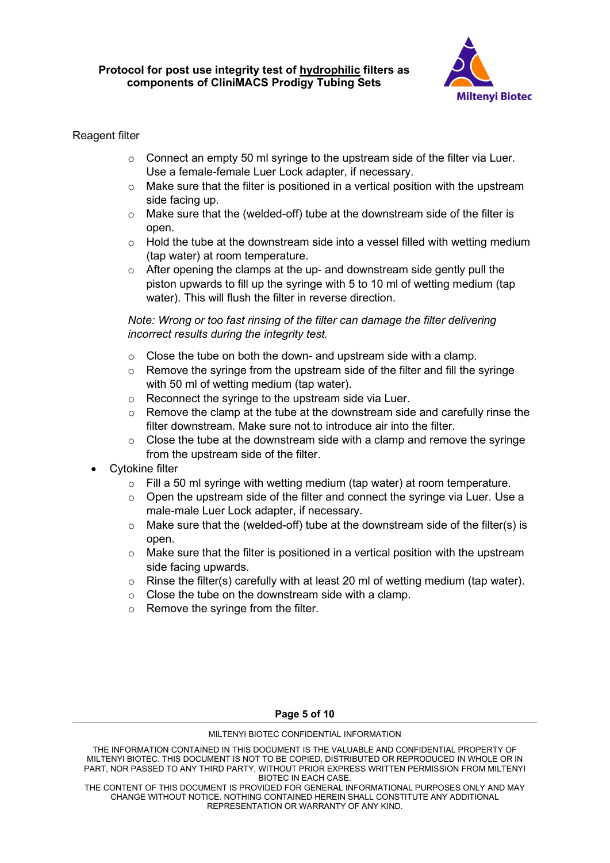

## Reagent filter

- $\circ$  Connect an empty 50 ml syringe to the upstream side of the filter via Luer. Use a female-female Luer Lock adapter, if necessary.
- $\circ$  Make sure that the filter is positioned in a vertical position with the upstream side facing up.
- $\circ$  Make sure that the (welded-off) tube at the downstream side of the filter is open.
- $\circ$  Hold the tube at the downstream side into a vessel filled with wetting medium (tap water) at room temperature.
- $\circ$  After opening the clamps at the up- and downstream side gently pull the piston upwards to fill up the syringe with 5 to 10 ml of wetting medium (tap water). This will flush the filter in reverse direction.

## *Note: Wrong or too fast rinsing of the filter can damage the filter delivering incorrect results during the integrity test.*

- $\circ$  Close the tube on both the down- and upstream side with a clamp.
- $\circ$  Remove the syringe from the upstream side of the filter and fill the syringe with 50 ml of wetting medium (tap water).
- o Reconnect the syringe to the upstream side via Luer.
- $\circ$  Remove the clamp at the tube at the downstream side and carefully rinse the filter downstream. Make sure not to introduce air into the filter.
- $\circ$  Close the tube at the downstream side with a clamp and remove the syringe from the upstream side of the filter.
- Cytokine filter
	- $\circ$  Fill a 50 ml syringe with wetting medium (tap water) at room temperature.
	- $\circ$  Open the upstream side of the filter and connect the syringe via Luer. Use a male-male Luer Lock adapter, if necessary.
	- $\circ$  Make sure that the (welded-off) tube at the downstream side of the filter(s) is open.
	- $\circ$  Make sure that the filter is positioned in a vertical position with the upstream side facing upwards.
	- $\circ$  Rinse the filter(s) carefully with at least 20 ml of wetting medium (tap water).
	- $\circ$  Close the tube on the downstream side with a clamp.
	- o Remove the syringe from the filter.

### **Page 5 of 10**

#### MILTENYI BIOTEC CONFIDENTIAL INFORMATION

THE INFORMATION CONTAINED IN THIS DOCUMENT IS THE VALUABLE AND CONFIDENTIAL PROPERTY OF MILTENYI BIOTEC. THIS DOCUMENT IS NOT TO BE COPIED, DISTRIBUTED OR REPRODUCED IN WHOLE OR IN PART, NOR PASSED TO ANY THIRD PARTY, WITHOUT PRIOR EXPRESS WRITTEN PERMISSION FROM MILTENYI BIOTEC IN EACH CASE.

THE CONTENT OF THIS DOCUMENT IS PROVIDED FOR GENERAL INFORMATIONAL PURPOSES ONLY AND MAY CHANGE WITHOUT NOTICE. NOTHING CONTAINED HEREIN SHALL CONSTITUTE ANY ADDITIONAL REPRESENTATION OR WARRANTY OF ANY KIND.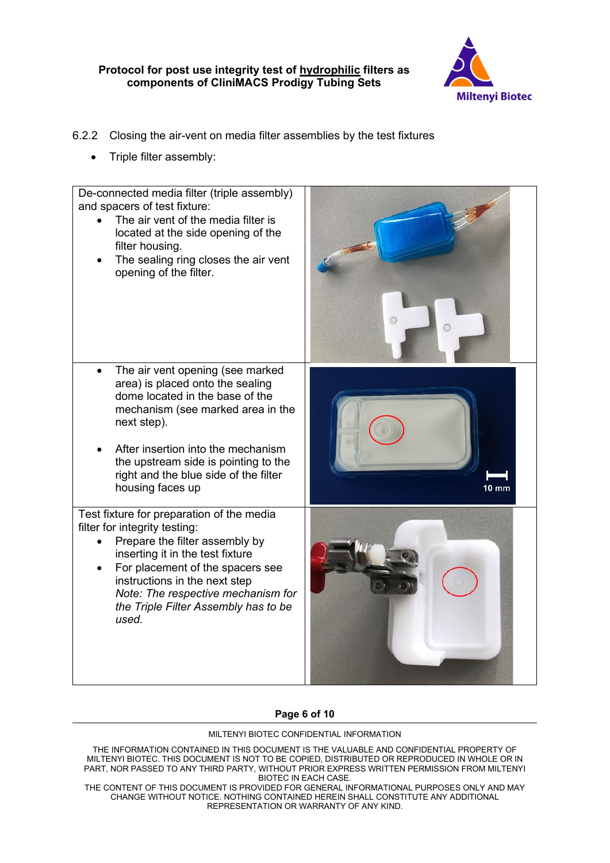

## 6.2.2 Closing the air-vent on media filter assemblies by the test fixtures

• Triple filter assembly:



### **Page 6 of 10**

#### MILTENYI BIOTEC CONFIDENTIAL INFORMATION

THE INFORMATION CONTAINED IN THIS DOCUMENT IS THE VALUABLE AND CONFIDENTIAL PROPERTY OF MILTENYI BIOTEC. THIS DOCUMENT IS NOT TO BE COPIED, DISTRIBUTED OR REPRODUCED IN WHOLE OR IN PART, NOR PASSED TO ANY THIRD PARTY, WITHOUT PRIOR EXPRESS WRITTEN PERMISSION FROM MILTENYI BIOTEC IN EACH CASE.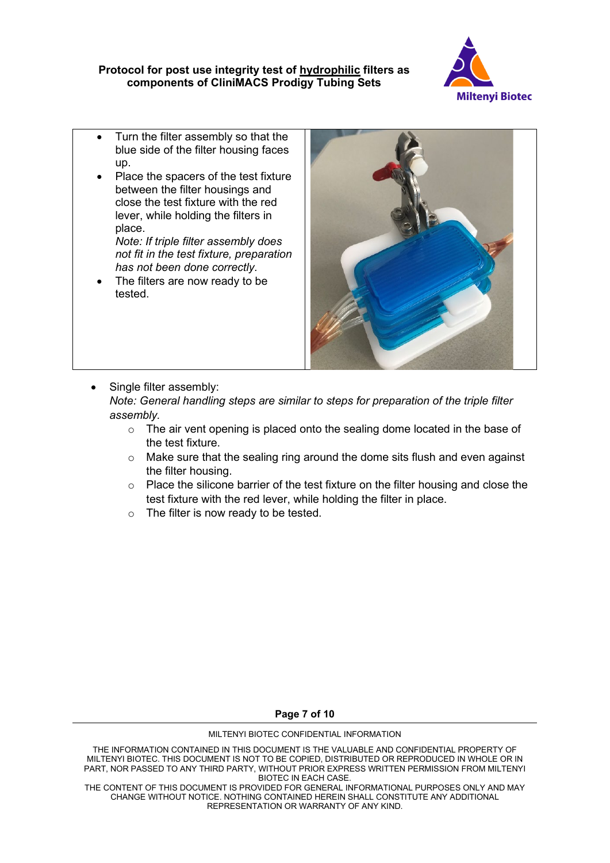

- Turn the filter assembly so that the blue side of the filter housing faces up.
- Place the spacers of the test fixture between the filter housings and close the test fixture with the red lever, while holding the filters in place.

*Note: If triple filter assembly does not fit in the test fixture, preparation has not been done correctly.*

The filters are now ready to be tested.



Single filter assembly:

*Note: General handling steps are similar to steps for preparation of the triple filter assembly.*

- $\circ$  The air vent opening is placed onto the sealing dome located in the base of the test fixture.
- o Make sure that the sealing ring around the dome sits flush and even against the filter housing.
- o Place the silicone barrier of the test fixture on the filter housing and close the test fixture with the red lever, while holding the filter in place.
- o The filter is now ready to be tested.

**Page 7 of 10**

#### MILTENYI BIOTEC CONFIDENTIAL INFORMATION

THE INFORMATION CONTAINED IN THIS DOCUMENT IS THE VALUABLE AND CONFIDENTIAL PROPERTY OF MILTENYI BIOTEC. THIS DOCUMENT IS NOT TO BE COPIED, DISTRIBUTED OR REPRODUCED IN WHOLE OR IN PART, NOR PASSED TO ANY THIRD PARTY, WITHOUT PRIOR EXPRESS WRITTEN PERMISSION FROM MILTENYI BIOTEC IN EACH CASE.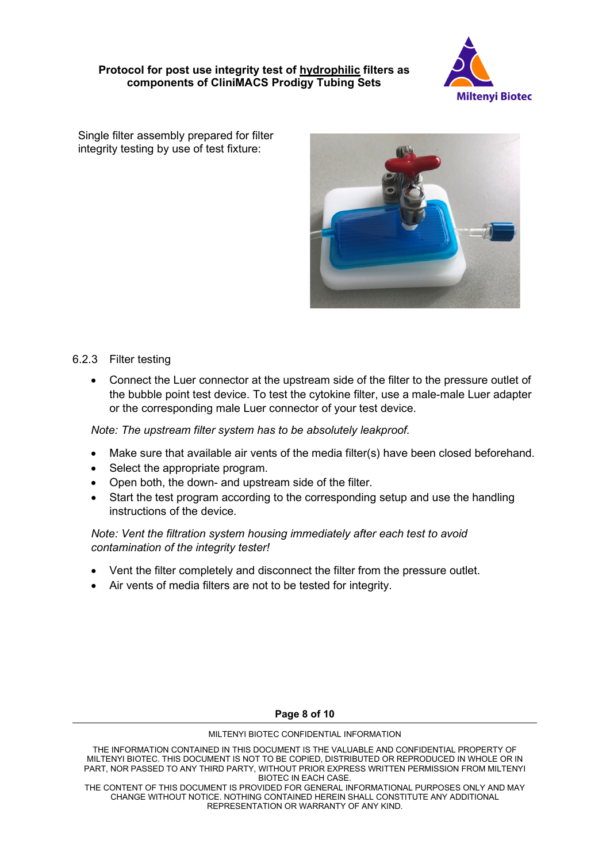

Single filter assembly prepared for filter integrity testing by use of test fixture:



## 6.2.3 Filter testing

• Connect the Luer connector at the upstream side of the filter to the pressure outlet of the bubble point test device. To test the cytokine filter, use a male-male Luer adapter or the corresponding male Luer connector of your test device.

*Note: The upstream filter system has to be absolutely leakproof.*

- Make sure that available air vents of the media filter(s) have been closed beforehand.
- Select the appropriate program.
- Open both, the down- and upstream side of the filter.
- Start the test program according to the corresponding setup and use the handling instructions of the device.

## *Note: Vent the filtration system housing immediately after each test to avoid contamination of the integrity tester!*

- Vent the filter completely and disconnect the filter from the pressure outlet.
- Air vents of media filters are not to be tested for integrity.

### **Page 8 of 10**

#### MILTENYI BIOTEC CONFIDENTIAL INFORMATION

THE INFORMATION CONTAINED IN THIS DOCUMENT IS THE VALUABLE AND CONFIDENTIAL PROPERTY OF MILTENYI BIOTEC. THIS DOCUMENT IS NOT TO BE COPIED, DISTRIBUTED OR REPRODUCED IN WHOLE OR IN PART, NOR PASSED TO ANY THIRD PARTY, WITHOUT PRIOR EXPRESS WRITTEN PERMISSION FROM MILTENYI BIOTEC IN EACH CASE.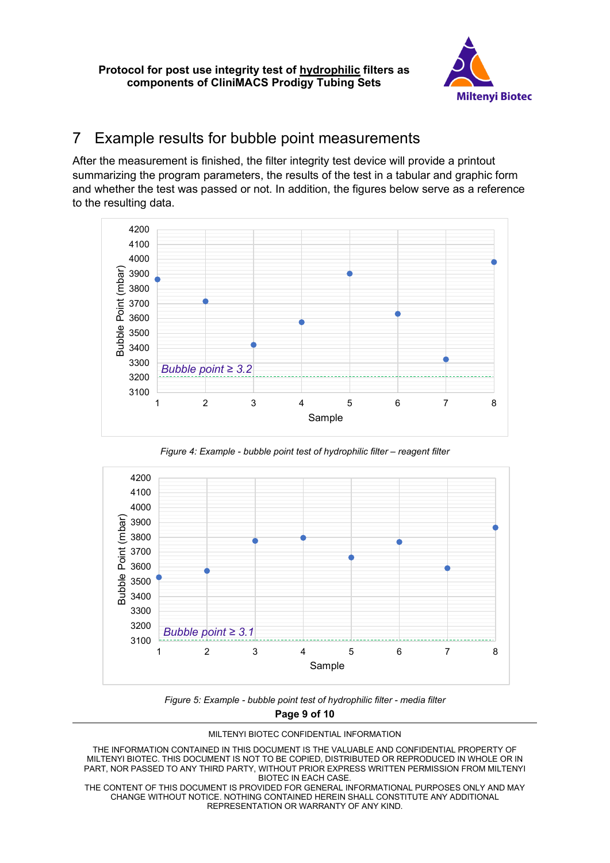

# 7 Example results for bubble point measurements

After the measurement is finished, the filter integrity test device will provide a printout summarizing the program parameters, the results of the test in a tabular and graphic form and whether the test was passed or not. In addition, the figures below serve as a reference to the resulting data.



*Figure 4: Example - bubble point test of hydrophilic filter – reagent filter*



*Figure 5: Example - bubble point test of hydrophilic filter - media filter*

**Page 9 of 10**



THE INFORMATION CONTAINED IN THIS DOCUMENT IS THE VALUABLE AND CONFIDENTIAL PROPERTY OF MILTENYI BIOTEC. THIS DOCUMENT IS NOT TO BE COPIED, DISTRIBUTED OR REPRODUCED IN WHOLE OR IN PART, NOR PASSED TO ANY THIRD PARTY, WITHOUT PRIOR EXPRESS WRITTEN PERMISSION FROM MILTENYI BIOTEC IN EACH CASE.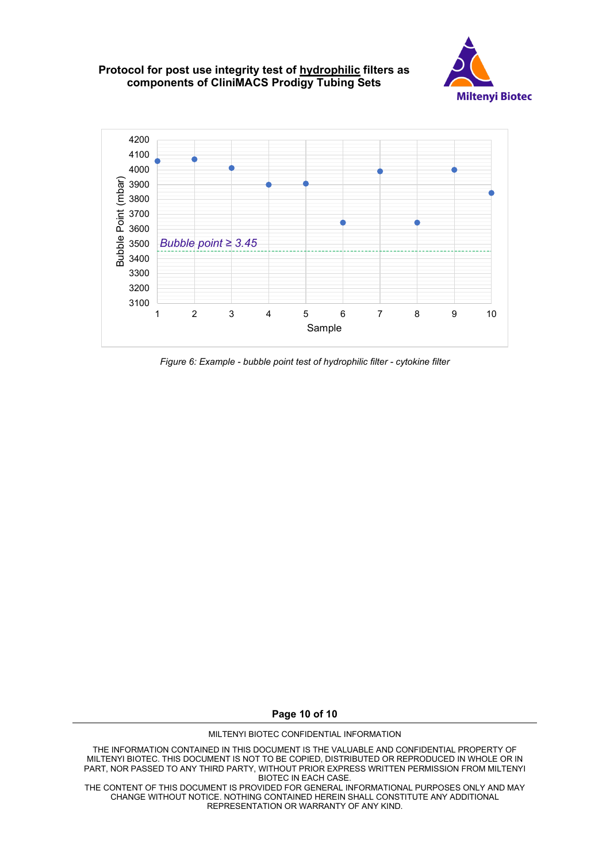

*Figure 6: Example - bubble point test of hydrophilic filter - cytokine filter* 

**Page 10 of 10**

MILTENYI BIOTEC CONFIDENTIAL INFORMATION

THE INFORMATION CONTAINED IN THIS DOCUMENT IS THE VALUABLE AND CONFIDENTIAL PROPERTY OF MILTENYI BIOTEC. THIS DOCUMENT IS NOT TO BE COPIED, DISTRIBUTED OR REPRODUCED IN WHOLE OR IN PART, NOR PASSED TO ANY THIRD PARTY, WITHOUT PRIOR EXPRESS WRITTEN PERMISSION FROM MILTENYI BIOTEC IN EACH CASE.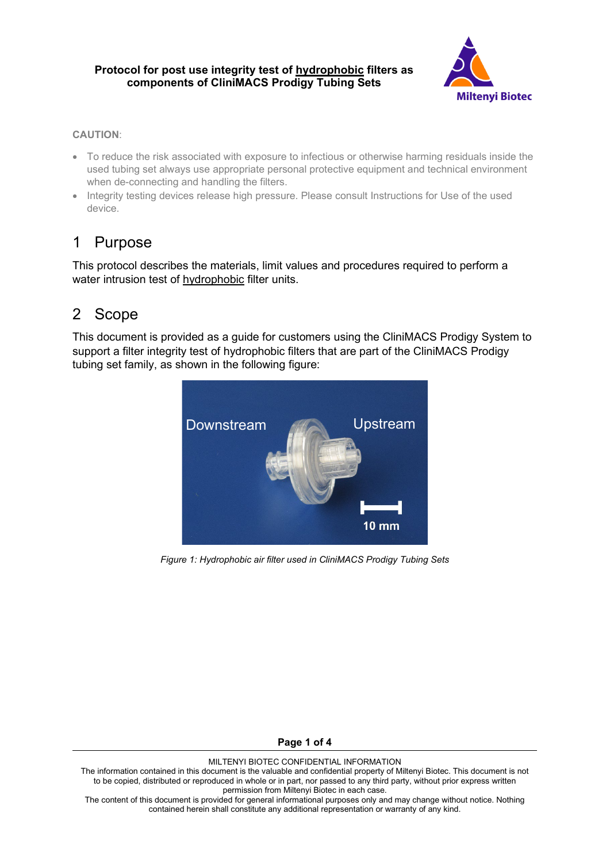

### **CAUTION**:

- To reduce the risk associated with exposure to infectious or otherwise harming residuals inside the used tubing set always use appropriate personal protective equipment and technical environment when de-connecting and handling the filters.
- Integrity testing devices release high pressure. Please consult Instructions for Use of the used device.

# 1 Purpose

This protocol describes the materials, limit values and procedures required to perform a water intrusion test of hydrophobic filter units.

# 2 Scope

This document is provided as a guide for customers using the CliniMACS Prodigy System to support a filter integrity test of hydrophobic filters that are part of the CliniMACS Prodigy tubing set family, as shown in the following figure:



*Figure 1: Hydrophobic air filter used in CliniMACS Prodigy Tubing Sets*

**Page 1 of 4**

#### MILTENYI BIOTEC CONFIDENTIAL INFORMATION

The information contained in this document is the valuable and confidential property of Miltenyi Biotec. This document is not to be copied, distributed or reproduced in whole or in part, nor passed to any third party, without prior express written permission from Miltenyi Biotec in each case.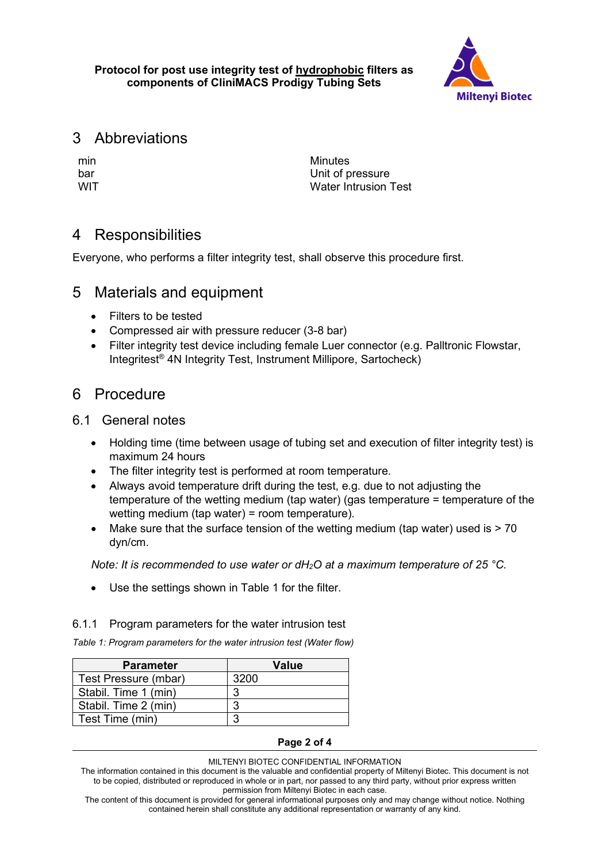

# 3 Abbreviations

min Minutes<br>har Unit of p Unit of pressure WIT **WIT** Water Intrusion Test

# 4 Responsibilities

Everyone, who performs a filter integrity test, shall observe this procedure first.

# 5 Materials and equipment

- Filters to be tested
- Compressed air with pressure reducer (3-8 bar)
- Filter integrity test device including female Luer connector (e.g. Palltronic Flowstar, Integritest® 4N Integrity Test, Instrument Millipore, Sartocheck)

## 6 Procedure

## 6.1 General notes

- Holding time (time between usage of tubing set and execution of filter integrity test) is maximum 24 hours
- The filter integrity test is performed at room temperature.
- Always avoid temperature drift during the test, e.g. due to not adjusting the temperature of the wetting medium (tap water) (gas temperature = temperature of the wetting medium (tap water) = room temperature).
- Make sure that the surface tension of the wetting medium (tap water) used is > 70 dyn/cm.

*Note: It is recommended to use water or dH2O at a maximum temperature of 25 °C.*

• Use the settings shown in [Table 1](#page--1-0) for the filter.

## 6.1.1 Program parameters for the water intrusion test

*Table 1: Program parameters for the water intrusion test (Water flow)*

| <b>Parameter</b>     | Value |
|----------------------|-------|
| Test Pressure (mbar) | 3200  |
| Stabil. Time 1 (min) | ຊ     |
| Stabil. Time 2 (min) | ◠     |
| Test Time (min)      | ◠     |

## **Page 2 of 4**

### MILTENYI BIOTEC CONFIDENTIAL INFORMATION

The information contained in this document is the valuable and confidential property of Miltenyi Biotec. This document is not to be copied, distributed or reproduced in whole or in part, nor passed to any third party, without prior express written permission from Miltenyi Biotec in each case.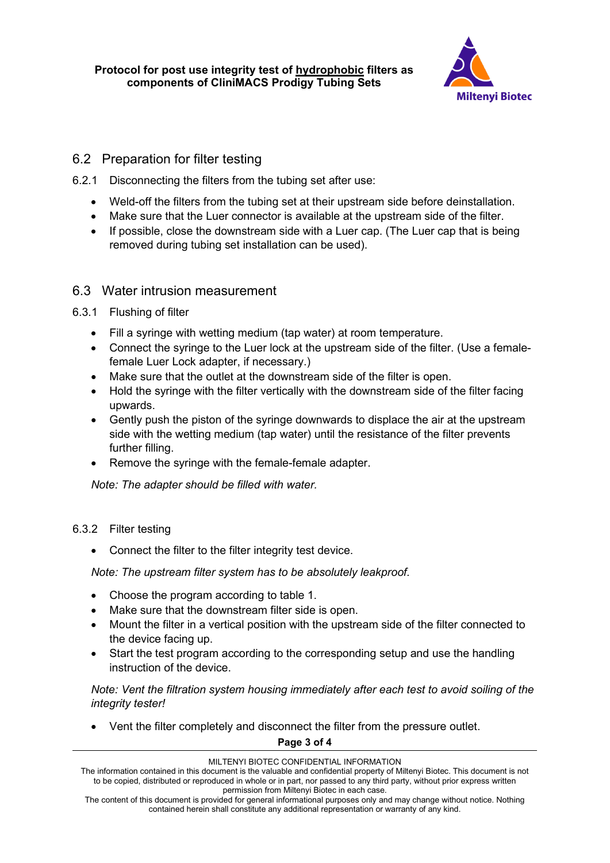

## 6.2 Preparation for filter testing

- 6.2.1 Disconnecting the filters from the tubing set after use:
	- Weld-off the filters from the tubing set at their upstream side before deinstallation.
	- Make sure that the Luer connector is available at the upstream side of the filter.
	- If possible, close the downstream side with a Luer cap. (The Luer cap that is being removed during tubing set installation can be used).

## 6.3 Water intrusion measurement

- 6.3.1 Flushing of filter
	- Fill a syringe with wetting medium (tap water) at room temperature.
	- Connect the syringe to the Luer lock at the upstream side of the filter. (Use a femalefemale Luer Lock adapter, if necessary.)
	- Make sure that the outlet at the downstream side of the filter is open.
	- Hold the syringe with the filter vertically with the downstream side of the filter facing upwards.
	- Gently push the piston of the syringe downwards to displace the air at the upstream side with the wetting medium (tap water) until the resistance of the filter prevents further filling.
	- Remove the syringe with the female-female adapter.

*Note: The adapter should be filled with water.*

## 6.3.2 Filter testing

• Connect the filter to the filter integrity test device.

*Note: The upstream filter system has to be absolutely leakproof.*

- Choose the program according to table 1.
- Make sure that the downstream filter side is open.
- Mount the filter in a vertical position with the upstream side of the filter connected to the device facing up.
- Start the test program according to the corresponding setup and use the handling instruction of the device.

*Note: Vent the filtration system housing immediately after each test to avoid soiling of the integrity tester!*

• Vent the filter completely and disconnect the filter from the pressure outlet.

**Page 3 of 4**

#### MILTENYI BIOTEC CONFIDENTIAL INFORMATION

The information contained in this document is the valuable and confidential property of Miltenyi Biotec. This document is not to be copied, distributed or reproduced in whole or in part, nor passed to any third party, without prior express written permission from Miltenyi Biotec in each case.